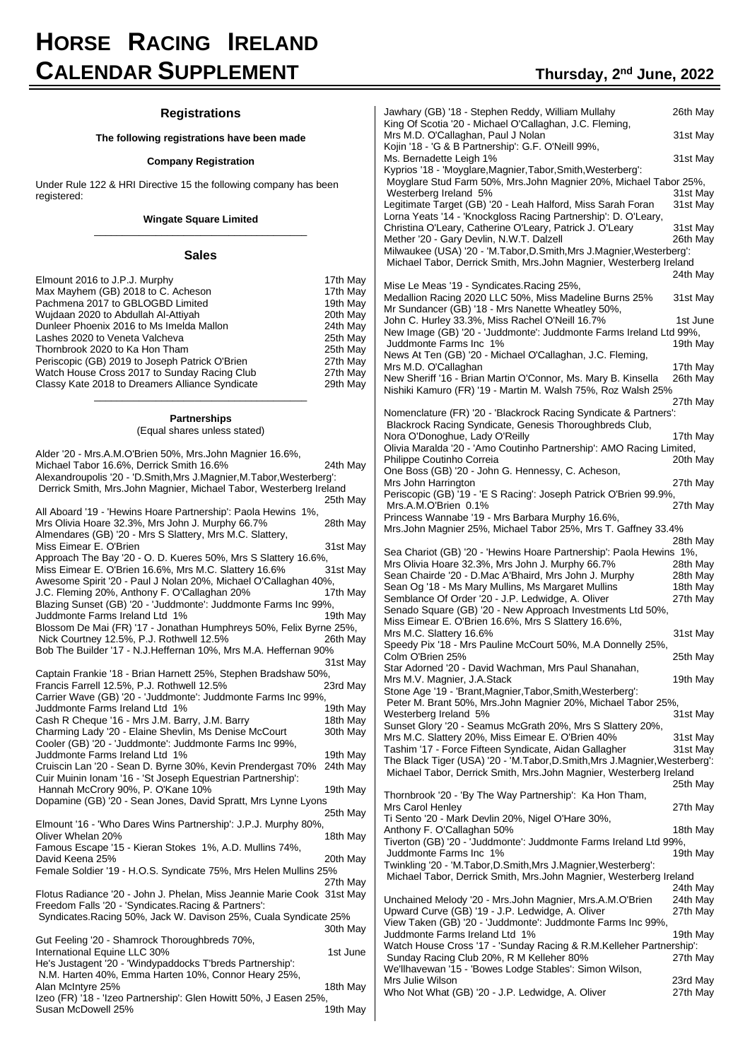# **HORSE RACING IRELAND CALENDAR SUPPLEMENT Thursday, <sup>2</sup>**

#### **Registrations**

#### **The following registrations have been made**

#### **Company Registration**

Under Rule 122 & HRI Directive 15 the following company has been registered:

#### **Wingate Square Limited** \_\_\_\_\_\_\_\_\_\_\_\_\_\_\_\_\_\_\_\_\_\_\_\_\_\_\_\_\_\_\_\_\_\_\_\_\_\_

#### **Sales**

| Elmount 2016 to J.P.J. Murphy                   | 17th May |
|-------------------------------------------------|----------|
| Max Mayhem (GB) 2018 to C. Acheson              | 17th May |
| Pachmena 2017 to GBLOGBD Limited                | 19th May |
| Wujdaan 2020 to Abdullah Al-Attiyah             | 20th May |
| Dunleer Phoenix 2016 to Ms Imelda Mallon        | 24th May |
| Lashes 2020 to Veneta Valcheva                  | 25th May |
| Thornbrook 2020 to Ka Hon Tham                  | 25th May |
| Periscopic (GB) 2019 to Joseph Patrick O'Brien  | 27th May |
| Watch House Cross 2017 to Sunday Racing Club    | 27th May |
| Classy Kate 2018 to Dreamers Alliance Syndicate | 29th May |
|                                                 |          |

# \_\_\_\_\_\_\_\_\_\_\_\_\_\_\_\_\_\_\_\_\_\_\_\_\_\_\_\_\_\_\_\_\_\_\_\_\_\_ **Partnerships**

(Equal shares unless stated)

| Alder '20 - Mrs.A.M.O'Brien 50%, Mrs.John Magnier 16.6%,                                                         |          |
|------------------------------------------------------------------------------------------------------------------|----------|
| Michael Tabor 16.6%, Derrick Smith 16.6%                                                                         | 24th May |
| Alexandroupolis '20 - 'D. Smith, Mrs J. Magnier, M. Tabor, Westerberg':                                          |          |
| Derrick Smith, Mrs.John Magnier, Michael Tabor, Westerberg Ireland                                               |          |
|                                                                                                                  | 25th May |
| All Aboard '19 - 'Hewins Hoare Partnership': Paola Hewins 1%,                                                    |          |
| Mrs Olivia Hoare 32.3%, Mrs John J. Murphy 66.7%                                                                 | 28th May |
| Almendares (GB) '20 - Mrs S Slattery, Mrs M.C. Slattery,                                                         |          |
| Miss Eimear E. O'Brien                                                                                           | 31st May |
| Approach The Bay '20 - O. D. Kueres 50%, Mrs S Slattery 16.6%,                                                   |          |
| Miss Eimear E. O'Brien 16.6%, Mrs M.C. Slattery 16.6%                                                            | 31st May |
| Awesome Spirit '20 - Paul J Nolan 20%, Michael O'Callaghan 40%,                                                  |          |
| J.C. Fleming 20%, Anthony F. O'Callaghan 20%                                                                     | 17th May |
| Blazing Sunset (GB) '20 - 'Juddmonte': Juddmonte Farms Inc 99%,                                                  |          |
| Juddmonte Farms Ireland Ltd 1%                                                                                   | 19th May |
| Blossom De Mai (FR) '17 - Jonathan Humphreys 50%, Felix Byrne 25%,                                               |          |
| Nick Courtney 12.5%, P.J. Rothwell 12.5%                                                                         | 26th May |
| Bob The Builder '17 - N.J.Heffernan 10%, Mrs M.A. Heffernan 90%                                                  |          |
| Captain Frankie '18 - Brian Harnett 25%, Stephen Bradshaw 50%,                                                   | 31st May |
| Francis Farrell 12.5%, P.J. Rothwell 12.5%                                                                       | 23rd May |
| Carrier Wave (GB) '20 - 'Juddmonte': Juddmonte Farms Inc 99%,                                                    |          |
| Juddmonte Farms Ireland Ltd 1%                                                                                   | 19th May |
| Cash R Cheque '16 - Mrs J.M. Barry, J.M. Barry                                                                   | 18th May |
| Charming Lady '20 - Elaine Shevlin, Ms Denise McCourt                                                            | 30th May |
| Cooler (GB) '20 - 'Juddmonte': Juddmonte Farms Inc 99%,                                                          |          |
| Juddmonte Farms Ireland Ltd 1%                                                                                   | 19th May |
| Cruiscin Lan '20 - Sean D. Byrne 30%, Kevin Prendergast 70%                                                      | 24th May |
| Cuir Muinin Ionam '16 - 'St Joseph Equestrian Partnership':                                                      |          |
| Hannah McCrory 90%, P. O'Kane 10%                                                                                | 19th May |
| Dopamine (GB) '20 - Sean Jones, David Spratt, Mrs Lynne Lyons                                                    |          |
|                                                                                                                  | 25th May |
| Elmount '16 - 'Who Dares Wins Partnership': J.P.J. Murphy 80%,                                                   |          |
| Oliver Whelan 20%                                                                                                | 18th May |
| Famous Escape '15 - Kieran Stokes 1%, A.D. Mullins 74%,                                                          |          |
| David Keena 25%                                                                                                  | 20th May |
| Female Soldier '19 - H.O.S. Syndicate 75%, Mrs Helen Mullins 25%                                                 |          |
|                                                                                                                  | 27th Mav |
| Flotus Radiance '20 - John J. Phelan, Miss Jeannie Marie Cook 31st May                                           |          |
| Freedom Falls '20 - 'Syndicates. Racing & Partners':                                                             |          |
| Syndicates. Racing 50%, Jack W. Davison 25%, Cuala Syndicate 25%                                                 |          |
|                                                                                                                  | 30th May |
| Gut Feeling '20 - Shamrock Thoroughbreds 70%,                                                                    |          |
| International Equine LLC 30%                                                                                     | 1st June |
| He's Justagent '20 - 'Windypaddocks T'breds Partnership':<br>N.M. Harten 40%, Emma Harten 10%, Connor Heary 25%, |          |
| Alan McIntyre 25%                                                                                                |          |
| Izeo (FR) '18 - 'Izeo Partnership': Glen Howitt 50%, J Easen 25%,                                                | 18th May |
| Susan McDowell 25%                                                                                               | 19th May |
|                                                                                                                  |          |

| Jawhary (GB) '18 - Stephen Reddy, William Mullahy                                                                             |                      |
|-------------------------------------------------------------------------------------------------------------------------------|----------------------|
|                                                                                                                               | 26th May             |
| King Of Scotia '20 - Michael O'Callaghan, J.C. Fleming,<br>Mrs M.D. O'Callaghan, Paul J Nolan                                 | 31st May             |
| Kojin '18 - 'G & B Partnership': G.F. O'Neill 99%,<br>Ms. Bernadette Leigh 1%                                                 | 31st May             |
| Kyprios '18 - 'Moyglare, Magnier, Tabor, Smith, Westerberg':                                                                  |                      |
| Moyglare Stud Farm 50%, Mrs.John Magnier 20%, Michael Tabor 25%,                                                              |                      |
| Westerberg Ireland 5%                                                                                                         | 31st May             |
| Legitimate Target (GB) '20 - Leah Halford, Miss Sarah Foran<br>Lorna Yeats '14 - 'Knockgloss Racing Partnership': D. O'Leary, | 31st May             |
| Christina O'Leary, Catherine O'Leary, Patrick J. O'Leary                                                                      | 31st May             |
| Mether '20 - Gary Devlin, N.W.T. Dalzell                                                                                      | 26th May             |
| Milwaukee (USA) '20 - 'M.Tabor, D.Smith, Mrs J.Magnier, Westerberg':                                                          |                      |
| Michael Tabor, Derrick Smith, Mrs. John Magnier, Westerberg Ireland                                                           |                      |
|                                                                                                                               | 24th May             |
| Mise Le Meas '19 - Syndicates. Racing 25%,                                                                                    |                      |
| Medallion Racing 2020 LLC 50%, Miss Madeline Burns 25%                                                                        | 31st May             |
| Mr Sundancer (GB) '18 - Mrs Nanette Wheatley 50%,                                                                             |                      |
| John C. Hurley 33.3%, Miss Rachel O'Neill 16.7%                                                                               | 1st June             |
| New Image (GB) '20 - 'Juddmonte': Juddmonte Farms Ireland Ltd 99%,                                                            |                      |
| Juddmonte Farms Inc 1%<br>News At Ten (GB) '20 - Michael O'Callaghan, J.C. Fleming,                                           | 19th May             |
| Mrs M.D. O'Callaghan                                                                                                          | 17th May             |
| New Sheriff '16 - Brian Martin O'Connor, Ms. Mary B. Kinsella                                                                 | 26th May             |
| Nishiki Kamuro (FR) '19 - Martin M. Walsh 75%, Roz Walsh 25%                                                                  |                      |
|                                                                                                                               | 27th May             |
| Nomenclature (FR) '20 - 'Blackrock Racing Syndicate & Partners':                                                              |                      |
| Blackrock Racing Syndicate, Genesis Thoroughbreds Club,                                                                       |                      |
| Nora O'Donoghue, Lady O'Reilly                                                                                                | 17th May             |
| Olivia Maralda '20 - 'Amo Coutinho Partnership': AMO Racing Limited,                                                          |                      |
| Philippe Coutinho Correia                                                                                                     | 20th May             |
| One Boss (GB) '20 - John G. Hennessy, C. Acheson,                                                                             |                      |
| Mrs John Harrington                                                                                                           | 27th May             |
| Periscopic (GB) '19 - 'E S Racing': Joseph Patrick O'Brien 99.9%,<br>Mrs.A.M.O'Brien 0.1%                                     | 27th May             |
| Princess Wannabe '19 - Mrs Barbara Murphy 16.6%,                                                                              |                      |
| Mrs.John Magnier 25%, Michael Tabor 25%, Mrs T. Gaffney 33.4%                                                                 |                      |
|                                                                                                                               | 28th May             |
| Sea Chariot (GB) '20 - 'Hewins Hoare Partnership': Paola Hewins 1%,                                                           |                      |
| Mrs Olivia Hoare 32.3%, Mrs John J. Murphy 66.7%                                                                              | 28th May             |
| Sean Chairde '20 - D.Mac A'Bhaird, Mrs John J. Murphy                                                                         |                      |
|                                                                                                                               | 28th May             |
| Sean Og '18 - Ms Mary Mullins, Ms Margaret Mullins                                                                            | 18th May             |
| Semblance Of Order '20 - J.P. Ledwidge, A. Oliver                                                                             | 27th May             |
| Senado Square (GB) '20 - New Approach Investments Ltd 50%,                                                                    |                      |
| Miss Eimear E. O'Brien 16.6%, Mrs S Slattery 16.6%,                                                                           |                      |
| Mrs M.C. Slattery 16.6%<br>Speedy Pix '18 - Mrs Pauline McCourt 50%, M.A Donnelly 25%,                                        | 31st May             |
| Colm O'Brien 25%                                                                                                              | 25th May             |
| Star Adorned '20 - David Wachman, Mrs Paul Shanahan,                                                                          |                      |
| Mrs M.V. Magnier, J.A.Stack                                                                                                   | 19th May             |
| Stone Age '19 - 'Brant, Magnier, Tabor, Smith, Westerberg':                                                                   |                      |
| Peter M. Brant 50%, Mrs.John Magnier 20%, Michael Tabor 25%,                                                                  |                      |
| Westerberg Ireland 5%                                                                                                         | 31st May             |
| Sunset Glory '20 - Seamus McGrath 20%, Mrs S Slattery 20%,                                                                    |                      |
| Mrs M.C. Slattery 20%, Miss Eimear E. O'Brien 40%<br>Tashim '17 - Force Fifteen Syndicate, Aidan Gallagher                    | 31st May<br>31st May |
| The Black Tiger (USA) '20 - 'M.Tabor, D.Smith, Mrs J.Magnier, Westerberg':                                                    |                      |
| Michael Tabor, Derrick Smith, Mrs.John Magnier, Westerberg Ireland                                                            |                      |
|                                                                                                                               | 25th May             |
| Thornbrook '20 - 'By The Way Partnership': Ka Hon Tham,                                                                       |                      |
| Mrs Carol Henley                                                                                                              | 27th May             |
| Ti Sento '20 - Mark Devlin 20%, Nigel O'Hare 30%,                                                                             |                      |
| Anthony F. O'Callaghan 50%                                                                                                    | 18th May             |
| Tiverton (GB) '20 - Juddmonte': Juddmonte Farms Ireland Ltd 99%,<br>Juddmonte Farms Inc 1%                                    | 19th May             |
| Twinkling '20 - 'M.Tabor,D.Smith,Mrs J.Magnier,Westerberg':                                                                   |                      |
| Michael Tabor, Derrick Smith, Mrs.John Magnier, Westerberg Ireland                                                            |                      |
|                                                                                                                               | 24th May             |
| Unchained Melody '20 - Mrs. John Magnier, Mrs. A.M. O'Brien                                                                   | 24th May             |
| Upward Curve (GB) '19 - J.P. Ledwidge, A. Oliver                                                                              | 27th May             |
| View Taken (GB) '20 - 'Juddmonte': Juddmonte Farms Inc 99%,                                                                   |                      |
| Juddmonte Farms Ireland Ltd 1%                                                                                                | 19th May             |
| Watch House Cross '17 - 'Sunday Racing & R.M.Kelleher Partnership':<br>Sunday Racing Club 20%, R M Kelleher 80%               | 27th May             |
| We'llhavewan '15 - 'Bowes Lodge Stables': Simon Wilson,                                                                       |                      |
| Mrs Julie Wilson<br>Who Not What (GB) '20 - J.P. Ledwidge, A. Oliver                                                          | 23rd May<br>27th May |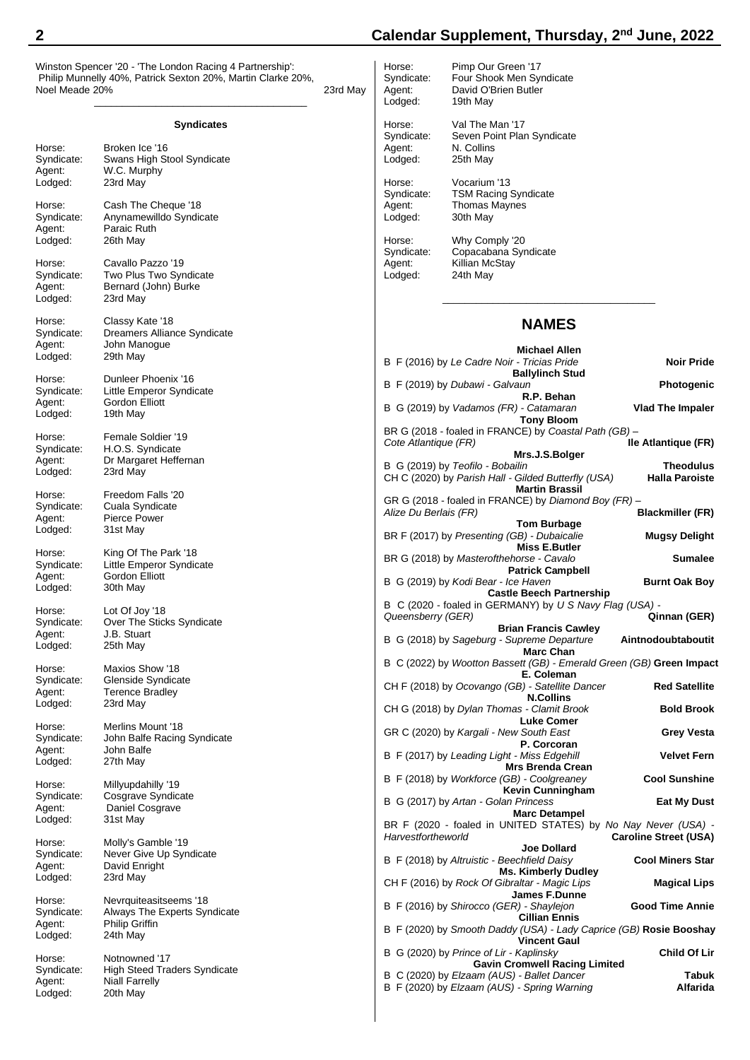Winston Spencer '20 - 'The London Racing 4 Partnership': Philip Munnelly 40%, Patrick Sexton 20%, Martin Clarke 20%, Noel Meade 20% 23rd May

|            | Syndicates                          |
|------------|-------------------------------------|
| Horse:     | Broken Ice '16                      |
| Syndicate: | Swans High Stool Syndicate          |
| Agent:     | W.C. Murphy                         |
| Lodged:    | 23rd May                            |
| Horse:     | Cash The Cheque '18                 |
| Syndicate: | Anynamewilldo Syndicate             |
| Agent:     | Paraic Ruth                         |
| Lodged:    | 26th May                            |
| Horse:     | Cavallo Pazzo '19                   |
| Syndicate: | Two Plus Two Syndicate              |
| Agent:     | Bernard (John) Burke                |
| Lodged:    | 23rd May                            |
| Horse:     | Classy Kate '18                     |
| Syndicate: | Dreamers Alliance Syndicate         |
| Agent:     | John Manogue                        |
| Lodged:    | 29th May                            |
| Horse:     | Dunleer Phoenix '16                 |
| Syndicate: | Little Emperor Syndicate            |
| Agent:     | Gordon Elliott                      |
| Lodged:    | 19th May                            |
| Horse:     | Female Soldier '19                  |
| Syndicate: | H.O.S. Syndicate                    |
| Agent:     | Dr Margaret Heffernan               |
| Lodged:    | 23rd May                            |
| Horse:     | Freedom Falls '20                   |
| Syndicate: | Cuala Syndicate                     |
| Agent:     | <b>Pierce Power</b>                 |
| Lodged:    | 31st May                            |
| Horse:     | King Of The Park '18                |
| Syndicate: | Little Emperor Syndicate            |
| Agent:     | Gordon Elliott                      |
| Lodged:    | 30th May                            |
| Horse:     | Lot Of Joy '18                      |
| Syndicate: | Over The Sticks Syndicate           |
| Agent:     | J.B. Stuart                         |
| Lodged:    | 25th May                            |
| Horse:     | Maxios Show '18                     |
| Syndicate: | Glenside Syndicate                  |
| Agent:     | <b>Terence Bradley</b>              |
| Lodged:    | 23rd May                            |
| Horse:     | Merlins Mount '18                   |
| Syndicate: | John Balfe Racing Syndicate         |
| Agent:     | John Balfe                          |
| Lodged:    | 27th May                            |
| Horse:     | Millyupdahilly '19                  |
| Syndicate: | Cosgrave Syndicate                  |
| Agent:     | Daniel Cosgrave                     |
| Lodged:    | 31st May                            |
| Horse:     | Molly's Gamble '19                  |
| Syndicate: | Never Give Up Syndicate             |
| Agent:     | David Enright                       |
| Lodged:    | 23rd May                            |
| Horse:     | Nevrquiteasitseems '18              |
| Syndicate: | Always The Experts Syndicate        |
| Agent:     | <b>Philip Griffin</b>               |
| Lodged:    | 24th May                            |
| Horse:     | Notnowned '17                       |
| Syndicate: | <b>High Steed Traders Syndicate</b> |

Agent: Niall Farrelly Lodged: 20th May

## **2 Calendar Supplement, Thursday, 2 nd June, 2022**

Horse: Pimp Our Green '17<br>Syndicate: Four Shook Men Sy Four Shook Men Syndicate Agent: David O'Brien Butler<br>Lodged: 19th May 19th May Horse: Val The Man '17 Syndicate: Seven Point Plan Syndicate<br>Agent: N. Collins N. Collins<br>25th May Lodged: Horse: Vocarium '13<br>Syndicate: TSM Racing **TSM Racing Syndicate** Agent: Thomas Maynes Lodged: 30th May Horse: Why Comply '20<br>Syndicate: Copacabana Syr Copacabana Syndicate Agent: Killian McStay<br>Lodged: 24th May 24th May \_\_\_\_\_\_\_\_\_\_\_\_\_\_\_\_\_\_\_\_\_\_\_\_\_\_\_\_\_\_\_\_\_\_\_\_\_\_ **NAMES Michael Allen** B F (2016) by *Le Cadre Noir - Tricias Pride* **Noir Pride Ballylinch Stud** B F (2019) by *Dubawi - Galvaun* **Photogenic R.P. Behan** B G (2019) by *Vadamos (FR) - Catamaran* **Vlad The Impaler Tony Bloom** BR G (2018 - foaled in FRANCE) by *Coastal Path (GB) –* **Cote Atlantique (FR) Mrs.J.S.Bolger** B G (2019) by *Teofilo - Bobailin*<br>CH C (2020) by *Parish Hall - Gilded Butterfly (USA)* **Halla Paroiste** CH C (2020) by *Parish Hall - Gilded Butterfly (USA)* **Martin Brassil** GR G (2018 - foaled in FRANCE) by *Diamond Boy (FR) –*  $A$ *lize Du Berlais (FR)* **Tom Burbage** BR F (2017) by *Presenting (GB) - Dubaicalie* **Mugsy Delight Miss E.Butler** BR G (2018) by *Masterofthehorse - Cavalo* **Sumalee Patrick Campbell** B G (2019) by *Kodi Bear - Ice Haven* **Burnt Oak Boy Castle Beech Partnership** B C (2020 - foaled in GERMANY) by *U S Navy Flag (USA) -*  $Queensberry (GER)$ **Brian Francis Cawley** B G (2018) by *Sageburg - Supreme Departure* **Aintnodoubtaboutit Marc Chan** B C (2022) by *Wootton Bassett (GB) - Emerald Green (GB)* **Green Impact E. Coleman** CH F (2018) by *Ocovango (GB) - Satellite Dancer* **Red Satellite N.Collins** CH G (2018) by *Dylan Thomas - Clamit Brook* **Bold Brook Luke Comer** GR C (2020) by *Kargali - New South East* **Grey Vesta P. Corcoran** B F (2017) by *Leading Light - Miss Edgehill* **Velvet Fern Mrs Brenda Crean** B F (2018) by *Workforce (GB) - Coolgreaney* **Cool Sunshine Kevin Cunningham** B G (2017) by *Artan - Golan Princess* **Eat My Dust Marc Detampel** BR F (2020 - foaled in UNITED STATES) by *No Nay Never (USA) -* **Caroline Street (USA) Joe Dollard** B F (2018) by *Altruistic - Beechfield Daisy* **Cool Miners Star Ms. Kimberly Dudley** CH F (2016) by *Rock Of Gibraltar - Magic Lips* **Magical Lips James F.Dunne** B F (2016) by *Shirocco (GER) - Shaylejon* **Good Time Annie Cillian Ennis**

B F (2020) by *Smooth Daddy (USA) - Lady Caprice (GB)* **Rosie Booshay Vincent Gaul** B G (2020) by *Prince of Lir - Kaplinsky* **Child Of Lir Gavin Cromwell Racing Limited**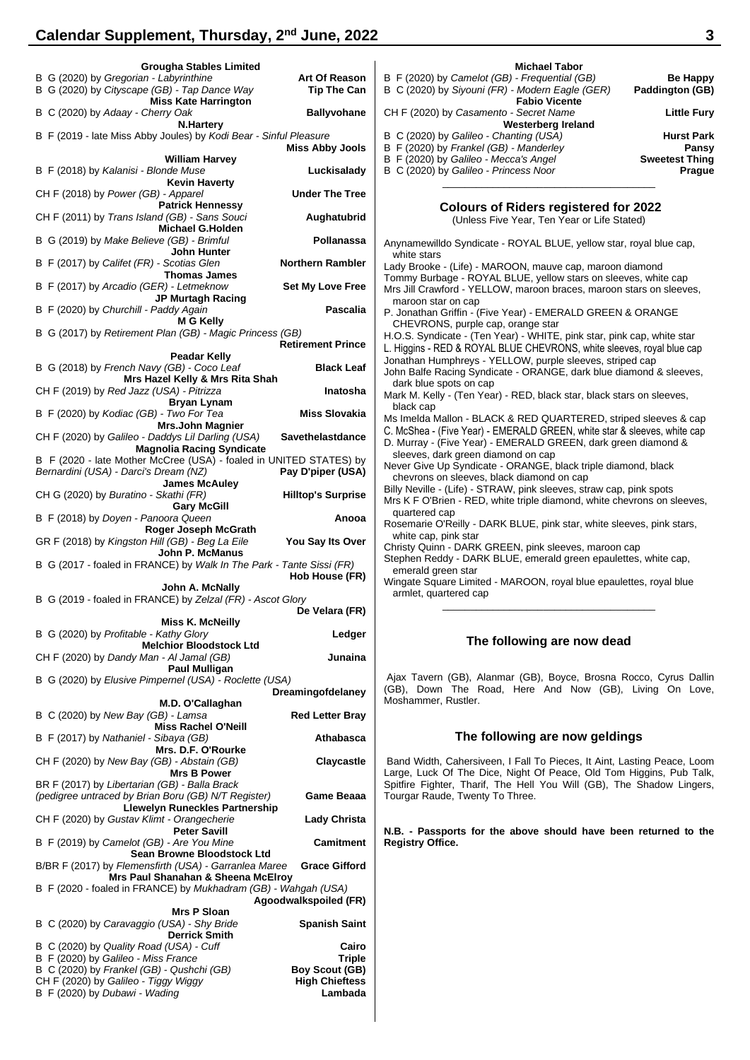| <b>Grougha Stables Limited</b>                                                                         |                                         |
|--------------------------------------------------------------------------------------------------------|-----------------------------------------|
| B G (2020) by Gregorian - Labyrinthine<br>B G (2020) by Cityscape (GB) - Tap Dance Way                 | <b>Art Of Reason</b><br>Tip The Can     |
| <b>Miss Kate Harrington</b><br>B C (2020) by Adaay - Cherry Oak                                        | <b>Ballyvohane</b>                      |
| <b>N.Harterv</b><br>B F (2019 - late Miss Abby Joules) by Kodi Bear - Sinful Pleasure                  | <b>Miss Abby Jools</b>                  |
| <b>William Harvey</b>                                                                                  |                                         |
| B F (2018) by Kalanisi - Blonde Muse<br><b>Kevin Haverty</b>                                           | Luckisalady                             |
| CH F (2018) by Power (GB) - Apparel<br><b>Patrick Hennessy</b>                                         | <b>Under The Tree</b>                   |
| CH F (2011) by Trans Island (GB) - Sans Souci<br><b>Michael G.Holden</b>                               | Aughatubrid                             |
| B G (2019) by Make Believe (GB) - Brimful<br>John Hunter                                               | Pollanassa                              |
| B F (2017) by Califet (FR) - Scotias Glen                                                              | <b>Northern Rambler</b>                 |
| <b>Thomas James</b><br>B F (2017) by Arcadio (GER) - Letmeknow                                         | <b>Set My Love Free</b>                 |
| <b>JP Murtagh Racing</b><br>B F (2020) by Churchill - Paddy Again                                      | <b>Pascalia</b>                         |
| <b>M G Kelly</b><br>B G (2017) by Retirement Plan (GB) - Magic Princess (GB)                           |                                         |
| Peadar Kelly                                                                                           | <b>Retirement Prince</b>                |
| B G (2018) by French Navy (GB) - Coco Leaf<br>Mrs Hazel Kelly & Mrs Rita Shah                          | <b>Black Leaf</b>                       |
| CH F (2019) by Red Jazz (USA) - Pitrizza                                                               | Inatosha                                |
| <b>Bryan Lynam</b><br>B F (2020) by Kodiac (GB) - Two For Tea                                          | <b>Miss Slovakia</b>                    |
| <b>Mrs.John Magnier</b><br>CH F (2020) by Galileo - Daddys Lil Darling (USA)                           | Savethelastdance                        |
| <b>Magnolia Racing Syndicate</b><br>B F (2020 - late Mother McCree (USA) - foaled in UNITED STATES) by |                                         |
| Bernardini (USA) - Darci's Dream (NZ)                                                                  | Pay D'piper (USA)                       |
| <b>James McAuley</b><br>CH G (2020) by Buratino - Skathi (FR)<br><b>Gary McGill</b>                    | <b>Hilltop's Surprise</b>               |
| B F (2018) by Doyen - Panoora Queen                                                                    | Anooa                                   |
| Roger Joseph McGrath<br>GR F (2018) by Kingston Hill (GB) - Beg La Eile                                | <b>You Say Its Over</b>                 |
| John P. McManus<br>B G (2017 - foaled in FRANCE) by Walk In The Park - Tante Sissi (FR)                | Hob House (FR)                          |
| John A. McNally                                                                                        |                                         |
| B G (2019 - foaled in FRANCE) by Zelzal (FR) - Ascot Glory                                             | De Velara (FR)                          |
| <b>Miss K. McNeilly</b><br>B G (2020) by Profitable - Kathy Glory                                      | Ledger                                  |
| <b>Melchior Bloodstock Ltd</b><br>CH F (2020) by Dandy Man - Al Jamal (GB)                             | Junaina                                 |
| <b>Paul Mulligan</b><br>B G (2020) by Elusive Pimpernel (USA) - Roclette (USA)                         |                                         |
|                                                                                                        | Dreamingofdelaney                       |
| M.D. O'Callaghan<br>B C (2020) by New Bay (GB) - Lamsa                                                 | <b>Red Letter Bray</b>                  |
| <b>Miss Rachel O'Neill</b><br>B F (2017) by Nathaniel - Sibaya (GB)                                    | Athabasca                               |
| Mrs. D.F. O'Rourke<br>CH F (2020) by New Bay (GB) - Abstain (GB)                                       | Claycastle                              |
| <b>Mrs B Power</b><br>BR F (2017) by Libertarian (GB) - Balla Brack                                    |                                         |
| (pedigree untraced by Brian Boru (GB) N/T Register)<br>Llewelyn Runeckles Partnership                  | Game Beaaa                              |
| CH F (2020) by Gustav Klimt - Orangecherie<br><b>Peter Savill</b>                                      | <b>Lady Christa</b>                     |
| B F (2019) by Camelot (GB) - Are You Mine<br>Sean Browne Bloodstock Ltd                                | <b>Camitment</b>                        |
| B/BR F (2017) by Flemensfirth (USA) - Garranlea Maree<br>Mrs Paul Shanahan & Sheena McElroy            | <b>Grace Gifford</b>                    |
| B F (2020 - foaled in FRANCE) by Mukhadram (GB) - Wahgah (USA)                                         | Agoodwalkspoiled (FR)                   |
| <b>Mrs P Sloan</b><br>B C (2020) by Caravaggio (USA) - Shy Bride                                       | <b>Spanish Saint</b>                    |
| <b>Derrick Smith</b><br>B C (2020) by Quality Road (USA) - Cuff                                        | Cairo                                   |
| B F (2020) by Galileo - Miss France                                                                    | Triple                                  |
| B C (2020) by Frankel (GB) - Qushchi (GB)<br>CH F (2020) by Galileo - Tiggy Wiggy                      | Boy Scout (GB)<br><b>High Chieftess</b> |
| B F (2020) by Dubawi - Wading                                                                          | Lambada                                 |
|                                                                                                        |                                         |

| Be Happy<br><b>Paddington (GB)</b>                            | <b>Michael Tabor</b><br>B F (2020) by Camelot (GB) - Frequential (GB)<br>B C (2020) by Siyouni (FR) - Modern Eagle (GER)<br><b>Fabio Vicente</b>                   |
|---------------------------------------------------------------|--------------------------------------------------------------------------------------------------------------------------------------------------------------------|
| <b>Little Fury</b>                                            | CH F (2020) by Casamento - Secret Name<br>Westerberg Ireland                                                                                                       |
| <b>Hurst Park</b><br>Pansy<br><b>Sweetest Thing</b><br>Prague | B C (2020) by Galileo - Chanting (USA)<br>B F (2020) by Frankel (GB) - Manderley<br>B F (2020) by Galileo - Mecca's Angel<br>B C (2020) by Galileo - Princess Noor |

# \_\_\_\_\_\_\_\_\_\_\_\_\_\_\_\_\_\_\_\_\_\_\_\_\_\_\_\_\_\_\_\_\_\_\_\_\_\_ **Colours of Riders registered for 2022**

|  |  |  | (Unless Five Year, Ten Year or Life Stated) |
|--|--|--|---------------------------------------------|
|--|--|--|---------------------------------------------|

- Anynamewilldo Syndicate ROYAL BLUE, yellow star, royal blue cap, white stars
- Lady Brooke (Life) MAROON, mauve cap, maroon diamond
- Tommy Burbage ROYAL BLUE, yellow stars on sleeves, white cap
- Mrs Jill Crawford YELLOW, maroon braces, maroon stars on sleeves, maroon star on cap
- P. Jonathan Griffin (Five Year) EMERALD GREEN & ORANGE CHEVRONS, purple cap, orange star
- H.O.S. Syndicate (Ten Year) WHITE, pink star, pink cap, white star
- L. Higgins RED & ROYAL BLUE CHEVRONS, white sleeves, royal blue cap
- Jonathan Humphreys YELLOW, purple sleeves, striped cap
- John Balfe Racing Syndicate ORANGE, dark blue diamond & sleeves, dark blue spots on cap
- Mark M. Kelly (Ten Year) RED, black star, black stars on sleeves, black cap
- Ms Imelda Mallon BLACK & RED QUARTERED, striped sleeves & cap
- C. McShea (Five Year) EMERALD GREEN, white star & sleeves, white cap
- D. Murray (Five Year) EMERALD GREEN, dark green diamond & sleeves, dark green diamond on cap
- Never Give Up Syndicate ORANGE, black triple diamond, black chevrons on sleeves, black diamond on cap
- Billy Neville (Life) STRAW, pink sleeves, straw cap, pink spots
- Mrs K F O'Brien RED, white triple diamond, white chevrons on sleeves, quartered cap
- Rosemarie O'Reilly DARK BLUE, pink star, white sleeves, pink stars, white cap, pink star
- Christy Quinn DARK GREEN, pink sleeves, maroon cap
- Stephen Reddy DARK BLUE, emerald green epaulettes, white cap, emerald green star
- Wingate Square Limited MAROON, royal blue epaulettes, royal blue armlet, quartered cap

#### **The following are now dead**

\_\_\_\_\_\_\_\_\_\_\_\_\_\_\_\_\_\_\_\_\_\_\_\_\_\_\_\_\_\_\_\_\_\_\_\_\_\_

Ajax Tavern (GB), Alanmar (GB), Boyce, Brosna Rocco, Cyrus Dallin (GB), Down The Road, Here And Now (GB), Living On Love, Moshammer, Rustler.

#### **The following are now geldings**

Band Width, Cahersiveen, I Fall To Pieces, It Aint, Lasting Peace, Loom Large, Luck Of The Dice, Night Of Peace, Old Tom Higgins, Pub Talk, Spitfire Fighter, Tharif, The Hell You Will (GB), The Shadow Lingers, Tourgar Raude, Twenty To Three.

**N.B. - Passports for the above should have been returned to the Registry Office.**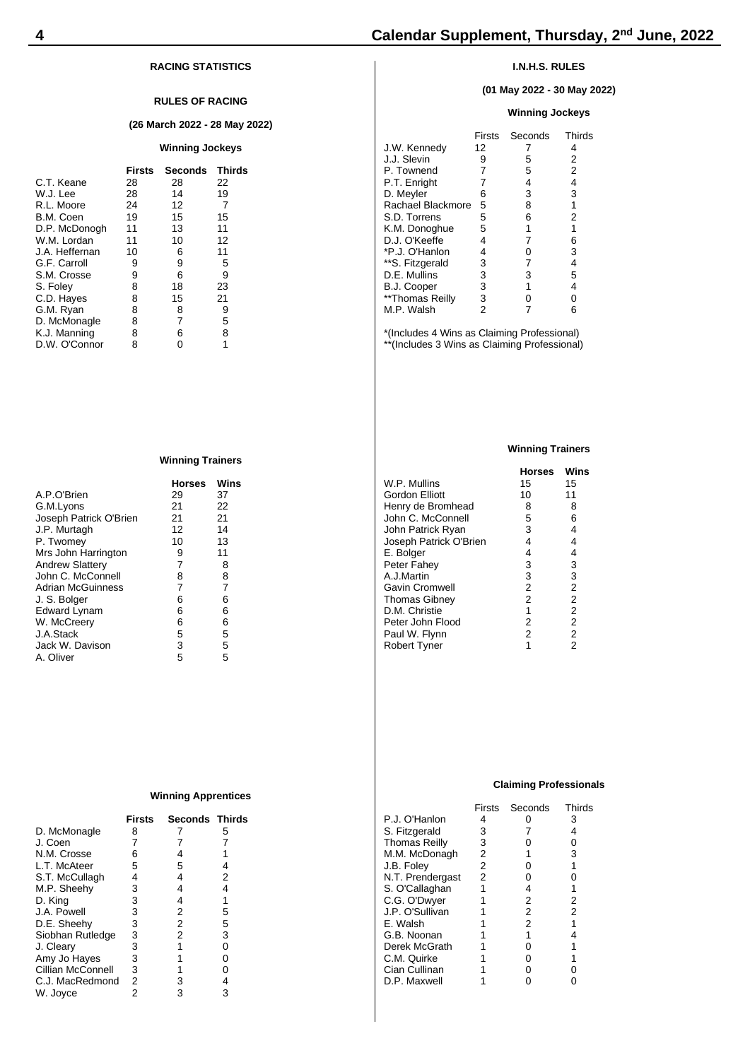### **RACING STATISTICS**

#### **RULES OF RACING**

#### **(26 March 2022 - 28 May 2022)**

#### **Winning Jockeys**

|                | <b>Firsts</b> | <b>Seconds</b> | <b>Thirds</b> |
|----------------|---------------|----------------|---------------|
| C.T. Keane     | 28            | 28             | 22            |
| W.J. Lee       | 28            | 14             | 19            |
| R.L. Moore     | 24            | 12             | 7             |
| B.M. Coen      | 19            | 15             | 15            |
| D.P. McDonogh  | 11            | 13             | 11            |
| W.M. Lordan    | 11            | 10             | 12            |
| J.A. Heffernan | 10            | 6              | 11            |
| G.F. Carroll   | 9             | 9              | 5             |
| S.M. Crosse    | 9             | 6              | 9             |
| S. Foley       | 8             | 18             | 23            |
| C.D. Hayes     | 8             | 15             | 21            |
| G.M. Ryan      | 8             | 8              | 9             |
| D. McMonagle   | 8             | 7              | 5             |
| K.J. Manning   | 8             | 6              | 8             |
| D.W. O'Connor  | 8             | ი              | 1             |

#### **Winning Trainers**

|                          | <b>Horses</b> | Wins |
|--------------------------|---------------|------|
| A.P.O'Brien              | 29            | 37   |
| G.M.Lyons                | 21            | 22   |
| Joseph Patrick O'Brien   | 21            | 21   |
| J.P. Murtagh             | 12            | 14   |
| P. Twomey                | 10            | 13   |
| Mrs John Harrington      | 9             | 11   |
| <b>Andrew Slattery</b>   | 7             | 8    |
| John C. McConnell        | 8             | 8    |
| <b>Adrian McGuinness</b> | 7             | 7    |
| J. S. Bolger             | 6             | 6    |
| Edward Lynam             | 6             | 6    |
| W. McCreery              | 6             | 6    |
| J.A.Stack                | 5             | 5    |
| Jack W. Davison          | 3             | 5    |
| A. Oliver                | 5             | 5    |

#### **Winning Apprentices**

|                   | Firsts | <b>Seconds Thirds</b> |   |
|-------------------|--------|-----------------------|---|
| D. McMonagle      | 8      |                       | 5 |
| J. Coen           | 7      |                       |   |
| N.M. Crosse       | 6      | 4                     |   |
| L.T. McAteer      | 5      | 5                     | 4 |
| S.T. McCullagh    | 4      | 4                     | 2 |
| M.P. Sheehy       | 3      | 4                     | 4 |
| D. King           | 3      | 4                     | 1 |
| J.A. Powell       | 3      | 2                     | 5 |
| D.E. Sheehy       | 3      | 2                     | 5 |
| Siobhan Rutledge  | 3      | 2                     | 3 |
| J. Cleary         | 3      |                       | 0 |
| Amy Jo Hayes      | 3      |                       | 0 |
| Cillian McConnell | 3      |                       | 0 |
| C.J. MacRedmond   | 2      | 3                     | 4 |
| W. Joyce          | 2      | 3                     | 3 |
|                   |        |                       |   |

### **I.N.H.S. RULES**

#### **(01 May 2022 - 30 May 2022)**

#### **Winning Jockeys**

|                   | Firsts | Seconds | Thirds         |
|-------------------|--------|---------|----------------|
| J.W. Kennedy      | 12     |         | 4              |
| J.J. Slevin       | 9      | 5       | 2              |
| P. Townend        | 7      | 5       | $\overline{2}$ |
| P.T. Enright      | 7      | 4       | 4              |
| D. Meyler         | 6      | 3       | 3              |
| Rachael Blackmore | 5      | 8       | 1              |
| S.D. Torrens      | 5      | 6       | 2              |
| K.M. Donoghue     | 5      | 1       | 1              |
| D.J. O'Keeffe     | 4      | 7       | 6              |
| *P.J. O'Hanlon    | 4      | 0       | 3              |
| **S. Fitzgerald   | 3      | 7       | 4              |
| D.E. Mullins      | 3      | 3       | 5              |
| B.J. Cooper       | 3      | 1       | 4              |
| **Thomas Reilly   | 3      | ი       | 0              |
| M.P. Walsh        | 2      |         | 6              |
|                   |        |         |                |

\*(Includes 4 Wins as Claiming Professional) \*\*(Includes 3 Wins as Claiming Professional)

#### **Winning Trainers**

|                        | <b>Horses</b>  | Wins           |
|------------------------|----------------|----------------|
| W.P. Mullins           | 15             | 15             |
| Gordon Elliott         | 10             | 11             |
| Henry de Bromhead      | 8              | 8              |
| John C. McConnell      | 5              | 6              |
| John Patrick Ryan      | 3              | 4              |
| Joseph Patrick O'Brien | 4              | 4              |
| E. Bolger              | 4              | 4              |
| Peter Fahey            | 3              | 3              |
| A.J.Martin             | 3              | 3              |
| <b>Gavin Cromwell</b>  | $\overline{2}$ | $\overline{2}$ |
| <b>Thomas Gibney</b>   | $\overline{2}$ | $\overline{2}$ |
| D.M. Christie          | 1              | $\overline{2}$ |
| Peter John Flood       | $\overline{2}$ | $\overline{2}$ |
| Paul W. Flynn          | $\overline{2}$ | $\overline{2}$ |
| <b>Robert Tyner</b>    | 1              | $\overline{2}$ |
|                        |                |                |

#### **Claiming Professionals**

|                      | <b>Firsts</b> | Seconds        | Thirds         |
|----------------------|---------------|----------------|----------------|
| P.J. O'Hanlon        | 4             |                | 3              |
| S. Fitzgerald        | 3             |                | 4              |
| <b>Thomas Reilly</b> | 3             | ი              | 0              |
| M.M. McDonagh        | 2             | 1              | 3              |
| J.B. Folev           | 2             | 0              | 1              |
| N.T. Prendergast     | 2             | 0              | 0              |
| S. O'Callaghan       | 1             | 4              | 1              |
| C.G. O'Dwyer         |               | 2              | 2              |
| J.P. O'Sullivan      |               | $\overline{2}$ | $\overline{2}$ |
| E. Walsh             |               | $\overline{2}$ | 1              |
| G.B. Noonan          |               | 1              | 4              |
| Derek McGrath        |               | 0              |                |
| C.M. Quirke          |               | 0              | 1              |
| Cian Cullinan        |               | 0              | 0              |
| D.P. Maxwell         |               |                |                |
|                      |               |                |                |